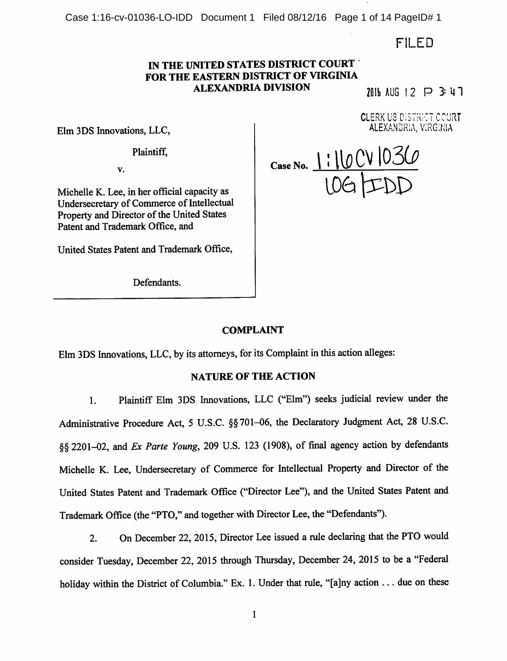Case 1:16-cv-01036-LO-IDD Document 1 Filed 08/12/16 Page 1 of 14 PageID# 1

FILED

# IN THE UNITED STATES DISTRICT COURT FOR THE EASTERN DISTRICT OF VIRGINIA ALEXANDRIA DIVISION  $2 \overline{10}$  aug 12  $\overline{12}$  3: 4 1

CLERK US DiSTRiCT COURT ALEXANDRIA, ViRGlNiA

Elm 3DS Imiovations, LLC,

Plaintiff,

V.

Michelle K. Lee, in her official capacity as Undersecretary of Commerce of Intellectual Property and Director of the United States Patent and Trademark Office, and

United States Patent and Trademark Office,

Defendants.

lOG |IDD Case No.  $|$  :  $|$   $|$   $|$   $\vee$   $|$ 

# COMPLAINT

Elm 3DS Innovations, LLC, by its attorneys, for its Complaint in this action alleges:

### NATURE OF THE ACTION

1. Plaintiff Elm 3DS Innovations, LLC ("Elm") seeks judicial review under the Administrative Procedure Act, 5 U.S.C. §§701-06, the Declaratory Judgment Act, 28 U.S.C. §§ 2201-02, and Ex Parte Young, 209 U.S. 123 (1908), of final agency action by defendants Michelle K. Lee, Undersecretary of Commerce for Intellectual Property and Director of the United States Patent and Trademark Office ("Director Lee"), and the United States Patent and Trademark Office (the "PTO," and together with Director Lee, the "Defendants").

2. On December 22, 2015, Director Lee issued a rule declaring that the PTO would consider Tuesday, December 22, 2015 through Thursday, December 24, 2015 to be a "Federal holiday within the District of Columbia." Ex. 1. Under that rule, "[a]ny action ... due on these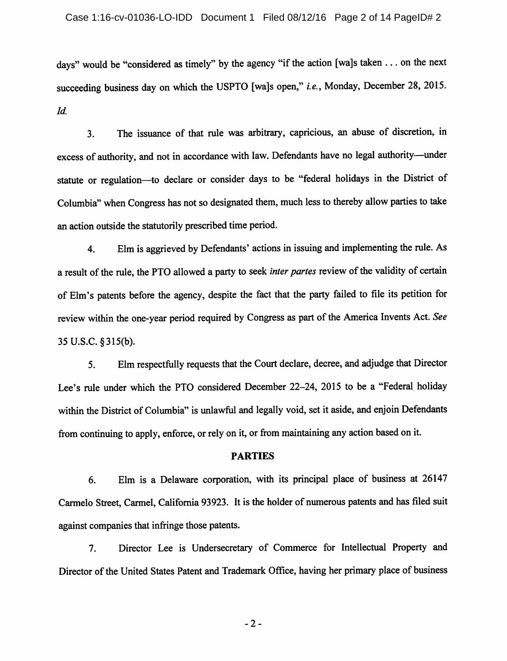#### Case 1:16-cv-01036-LO-IDD Document 1 Filed 08/12/16 Page 2 of 14 PageID# 2

days" would be "considered as timely" by the agency "if the action [wa]s taken ... on the next succeeding business day on which the USPTO [wa]s open," i.e., Monday, December 28, 2015. Id.

3. The issuance of that rule was arbitrary, capricious, an abuse of discretion, in excess of authority, and not in accordance with law. Defendants have no legal authority—^under statute or regulation—^to declare or consider days to be "federal holidays in the District of Columbia" when Congress has not so designated them, much less to thereby allow parties to take an action outside the statutorily prescribed time period.

4. Elmis aggrieved by Defendants' actions in issuing and implementing the rule. As a result of the rule, the PTO allowed a party to seek inter partes review of the validity of certain of Elm's patents before the agency, despite the fact that the party failed to file its petition for review within the one-year period required by Congress as part of the America Invents Act. See 35 U.S.C.§315(b).

5. Elm respectfully requests that the Court declare, decree, and adjudge that Director Lee's rule under which the PTO considered December 22-24, 2015 to be a "Federal holiday within the District of Columbia" is unlawful and legally void, set it aside, and enjoin Defendants from continuing to apply, enforce, or rely on it, or from maintaining any action based on it.

### PARTIES

6. Elm is a Delaware corporation, with its principal place of business at 26147 Carmelo Street, Carmel, California93923. It is the holder of numerous patents and has filed suit against companies that infringe those patents.

7. Director Lee is Undersecretary of Commerce for Intellectual Property and Director of the United States Patent and Trademark Office, having her primary place of business

-2-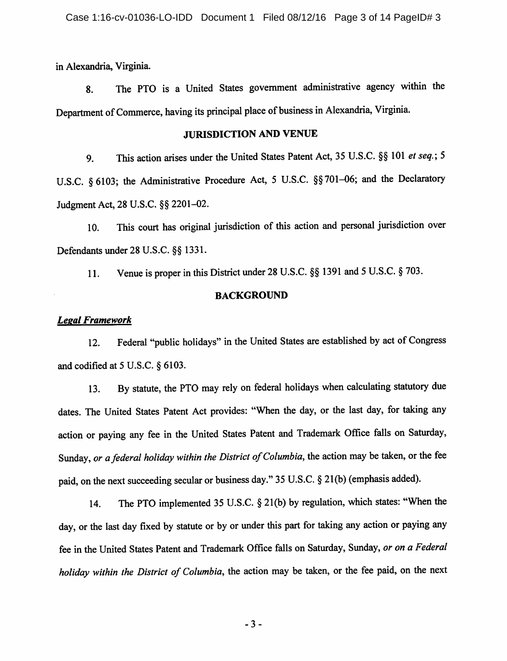in Alexandria, Virginia.

8. The PTO is a United States government administrative agency within the Department of Commerce, having its principal place of business in Alexandria, Virginia.

#### JURISDICTION AND VENUE

9. This action arises under the United States Patent Act, 35 U.S.C. §§ 101 et seq.; 5 U.S.C. §6103; the Administrative Procedure Act, 5 U.S.C. §§701-06; and the Declaratory Judgment Act, 28 U.S.C. §§ 2201-02.

10. This court has original jurisdiction of this action and personal jurisdiction over Defendants under 28 U.S.C. §§1331.

11. Venue is proper inthis District under 28 U.S.C. §§ 1391 and 5U.S.C. §703.

#### BACKGROUND

### Legal Framework

12. Federal "public holidays" in the United States are established by act of Congress and codified at 5 U.S.C. § 6103.

13. By statute, the PTO may rely on federal holidays when calculating statutory due dates. The United States Patent Act provides: "When the day, or the last day, for taking any action or paying any fee in the United States Patent and Trademark Office falls on Saturday, Sunday, or a federal holiday within the District of Columbia, the action may be taken, or the fee paid, on the next succeeding secular or business day." 35 U.S.C. § 21(b) (emphasis added).

14. The PTO implemented 35 U.S.C. § 21(b) by regulation, which states: "When the day, or the last day fixed by statute or by or under this part for taking any action or paying any fee in the United States Patent and Trademark Office falls on Saturday, Sunday, or on a Federal holiday within the District of Columbia, the action may be taken, or the fee paid, on the next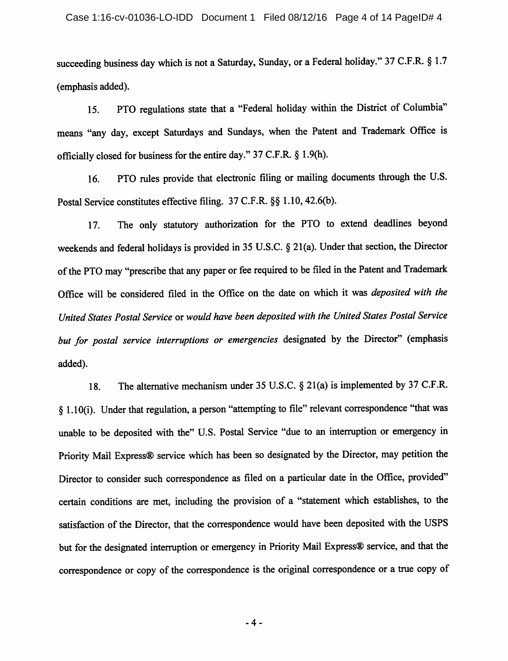succeeding business day which is not a Saturday, Sunday, or a Federal holiday." 37 C.F.R. § 1.7 (emphasis added).

15. PTO regulations state that a "Federal holiday within the District of Columbia" means "any day, except Saturdays and Sundays, when the Patent and Trademark Office is officially closed for business for the entire day." 37 C.F.R. § 1.9(h).

16. PTO rules provide that electronic filing or mailing documents through the U.S. Postal Service constitutes effective filing. 37 C.F.R. §§ 1.10, 42.6(b).

17. The only statutory authorization for the PTO to extend deadlines beyond weekends and federal holidays is provided in 35 U.S.C.  $\S$  21(a). Under that section, the Director of the PTO may "prescribe that any paper or fee required to be filed in the Patent and Trademark Office will be considered filed in the Office on the date on which it was deposited with the United States Postal Service or would have been deposited with the United States Postal Service but for postal service interruptions or emergencies designated by the Director" (emphasis added).

18. The alternative mechanism under 35 U.S.C. § 21(a) is implemented by 37 C.F.R. § 1.10(i). Under that regulation, a person "attempting to file" relevant correspondence "that was unable to be deposited with the" U.S. Postal Service "due to an interruption or emergency in Priority Mail Express® service which has been so designated by the Director, may petition the Director to consider such correspondence as filed on a particular date in the Office, provided" certain conditions are met, including the provision of a "statement which establishes, to the satisfaction of the Director, that the correspondence would have been deposited with the USPS but for the designated interruption or emergency in Priority Mail Express® service, and that the correspondence or copy of the correspondence is the original correspondence or a true copy of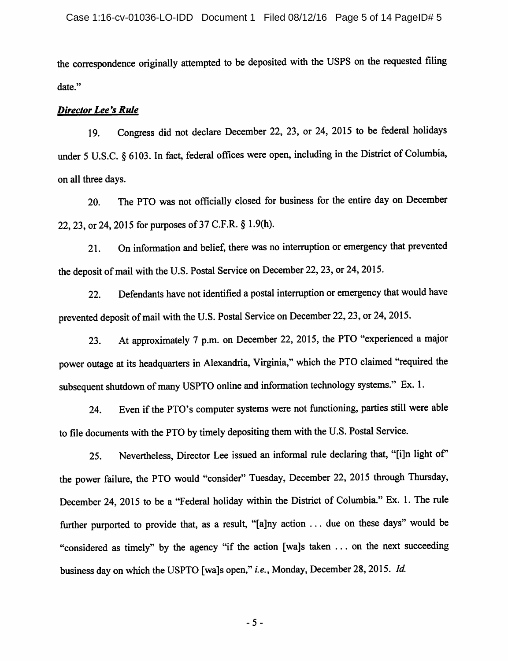the correspondence originally attempted to be deposited with the USPS on the requested filing date."

#### Director Lee's Rule

19. Congress did not declare December 22, 23, or 24, 2015 to be federal holidays under 5 U.S.C. § 6103. In fact, federal offices were open, including in the District of Columbia, on all three days.

20. The PTO was not officially closed for business for the entire day on December 22, 23, or 24, 2015 for purposes of 37 C.F.R. § 1.9(h).

21. On information and belief, there was no interruption or emergency that prevented the deposit of mail with the U.S. Postal Service on December 22, 23, or 24, 2015.

22. Defendants have not identified a postal interruption or emergency that would have prevented deposit of mail with the U.S. Postal Service on December 22, 23, or 24, 2015.

23. At approximately 7 p.m. on December 22, 2015, the PTO "experienced a major power outage at its headquarters in Alexandria, Virginia," which the PTO claimed "required the subsequent shutdown of many USPTO online and information technology systems." Ex. 1.

24. Even if the PTO's computer systems were not functioning, parties still were able to file documents with the PTO by timely depositing them with the U.S. Postal Service.

25. Nevertheless, Director Lee issued an informal rule declaring that, "[i]n light of the power failure, the PTO would "consider" Tuesday, December 22, 2015 through Thursday, December 24, 2015 to be a "Federal holiday within the District of Columbia." Ex. 1. The rule further purported to provide that, as a result, "[a]ny action ... due on these days" would be "considered as timely" by the agency "if the action [wa]s taken ... on the next succeeding business day on which the USPTO [wa]s open," i.e., Monday, December 28, 2015. Id.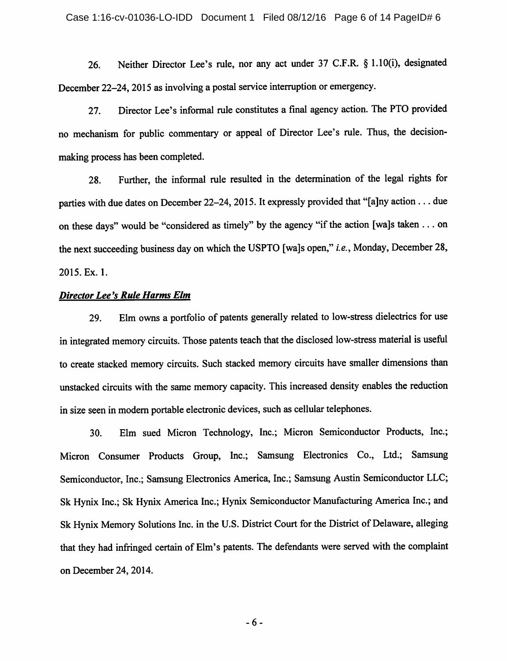26. Neither Director Lee's rule, nor any act under 37 C.F.R. § 1.10(i), designated December 22-24, 2015 as involving a postal service interruption or emergency.

27. Director Lee's informal rule constitutes a final agency action. The PTO provided no mechanism for public commentary or appeal of Director Lee's rule. Thus, the decisionmaking process has been completed.

28. Further, the informal rule resulted in the determination of the legal rights for parties with due dates on December 22-24, 2015. It expressly provided that "[a]ny action ... due on these days" would be "considered as timely" by the agency "if the action [wa]s taken  $\dots$  on the next succeeding business day on which the USPTO [wa]s open," *i.e.*, Monday, December 28, 2015. Ex. 1.

### **Director Lee's Rule Harms Elm**

29. Elm owns a portfolio of patents generally related to low-stress dielectrics for use in integrated memory circuits. Those patents teach that the disclosed low-stress material is useful to create stacked memory circuits. Such stacked memory circuits have smaller dimensions than unstacked circuits with the same memory capacity. This increased density enables the reduction in size seen in modern portable electronic devices, such as cellular telephones.

30. Elm sued Micron Technology, Inc.; Micron Semiconductor Products, Inc.; Micron Consumer Products Group, Inc.; Samsung Electronics Co., Ltd.; Samsung Semiconductor, Inc.; Samsung Electronics America, Inc.; Samsung Austin Semiconductor LLC; Sk Hynix Inc.; Sk Hynix America Inc.; Hynix Semiconductor Manufacturing America Inc.; and Sk Hynix Memory Solutions Inc. in the U.S. District Court for the District of Delaware, alleging that they had infringed certain of Elm's patents. The defendants were served with the complaint on December 24,2014.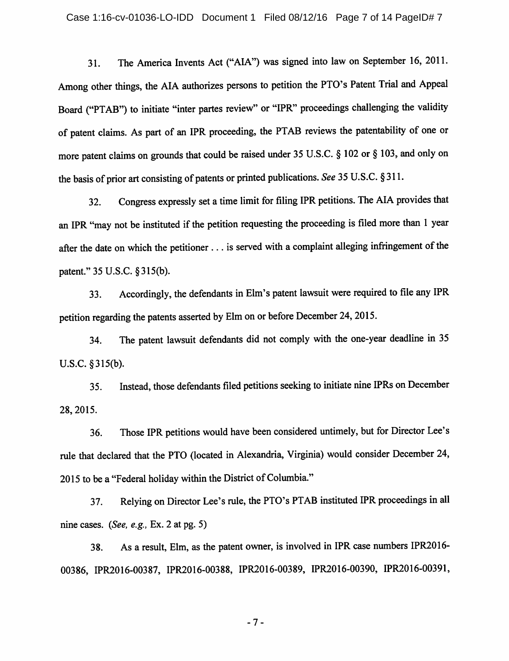31. The America Invents Act ("AIA") was signed into law on September 16, 2011. Among other things, the AIA authorizes persons to petition the PTO's Patent Trial and Appeal Board ("PTAB") to initiate "inter partes review" or "IPR" proceedings challenging the validity of patent claims. As part of an IPR proceeding, the PTAB reviews the patentability of one or more patent claims on grounds that could be raised under 35 U.S.C. § 102 or § 103, and only on the basis of prior art consisting of patents or printed publications. See 35 U.S.C. §311.

32. Congress expressly set a time limit for filing IPR petitions. The AIA provides that an IPR "may not be instituted if the petition requesting the proceeding is filed more than 1 year after the date on which the petitioner . . . is served with a complaint alleging infringement of the patent." 35 U.S.C. §315(b).

33. Accordingly, the defendants inElm's patent lawsuit were required to file any IPR petition regarding the patents asserted by Elm on or before December 24, 2015.

34. The patent lawsuit defendants did not comply with the one-year deadline in 35 U.S.C. §315(b).

35. Instead, those defendants filed petitions seeking to initiate nine IPRs onDecember 28,2015.

36. Those IPR petitions would have been considered untimely, but for Director Lee's rule that declared that the PTO (located in Alexandria, Virginia) would consider December 24, 2015 to be a "Federal holiday within the District of Columbia."

37. Relying on Director Lee's rule, the PTO's PTAB instituted IPR proceedings in all nine cases. (See, e.g., Ex. 2 at pg. 5)

38. As a result. Elm, as the patent ovmer, is involved in IPR case numbers IPR2016- 00386, IPR2016-00387, IPR2016-00388, IPR2016-00389, IPR2016-00390, IPR2016-00391,

-7-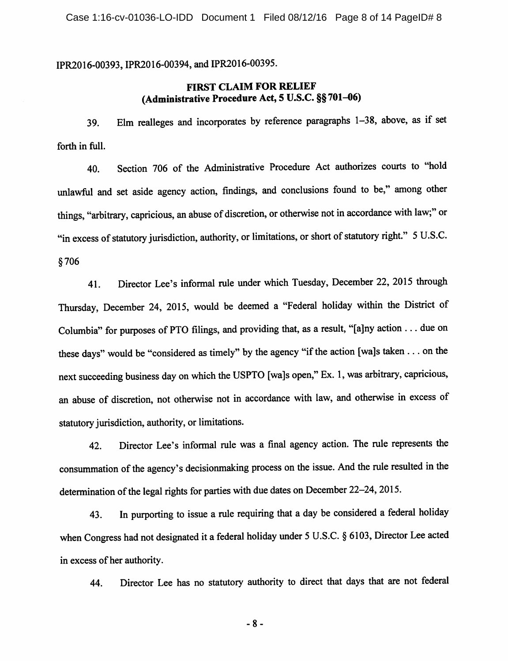IPR2016-00393, IPR2016-00394, and IPR2016-00395.

# FIRST CLAIM FOR RELIEF (Administrative Procedure Act, 5 U.S.C. §§701-06)

39. Elm realleges and incorporates by reference paragraphs 1-38, above, as if set forth in full.

40. Section 706 of the Administrative Procedure Act authorizes courts to "hold unlawful and set aside agency action, findings, and conclusions found to be," among other things, "arbitrary, capricious, an abuse of discretion, or otherwise not in accordance with law;" or "in excess of statutory jurisdiction, authority, or limitations, or short of statutory right." 5 U.S.C. §706

41. Director Lee's informal rule under which Tuesday, December 22, 2015 through Thursday, December 24, 2015, would be deemed a "Federal holiday within the District of Columbia" for purposes of PTO filings, and providing that, as a result, "[a]ny action . . . due on these days" would be "considered as timely" by the agency "if the action [wa]s taken . . . on the next succeeding business day on which the USPTO [wa]s open," Ex, 1, was arbitrary, capricious, an abuse of discretion, not otherwise not in accordance with law, and otherwise in excess of statutory jurisdiction, authority, or limitations.

42. Director Lee's informal rule was a final agency action. The rule represents the consummation of the agency's decisionmaking process on the issue. And the rule resulted in the determination of the legal rights for parties with due dates on December 22–24, 2015.

43. In purporting to issue a rule requiring that a day be considered a federal holiday when Congress had not designated it a federal holiday under 5 U.S.C. § 6103, Director Lee acted in excess of her authority.

44. Director Lee has no statutory authority to direct that days that are not federal

-8-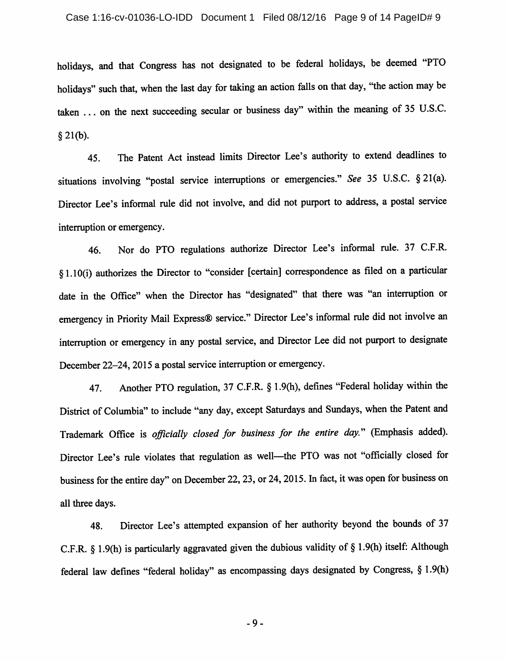holidays, and that Congress has not designated to be federal holidays, be deemed "PTO holidays" such that, when the last day for taking an action falls on that day, "the action may be taken ... on the next succeeding secular or business day" within the meaning of <sup>35</sup> U.S.C. § 21(b).

45. The Patent Act instead limits Director Lee's authority to extend deadlines to situations involving "postal service interruptions or emergencies." See 35 U.S.C. §21(a). Director Lee's informal rule did not involve, and did not purport to address, a postal service interruption or emergency.

46. Nor do PTO regulations authorize Director Lee's informal rule. 37 C.F.R. §1.10(i) authorizes the Director to "consider [certain] correspondence as filed on a particular date in the Office" when the Director has "designated" that there was "an interruption or emergency in Priority Mail Express® service." Director Lee's informal rule did not involve an interruption or emergency in any postal service, and Director Lee did not purport to designate December 22-24, 2015 a postal service interruption or emergency.

47. Another PTO regulation, 37 C.F.R. § 1.9(h), defines "Federal holiday within the District of Columbia" to include "any day, except Saturdays and Sundays, when the Patent and Trademark Office is officially closed for business for the entire day." (Emphasis added). Director Lee's rule violates that regulation as well—the PTO was not "officially closed for business for the entire day" on December 22, 23, or 24, 2015. In fact, it was open for business on all three days.

48. Director Lee's attempted expansion of her authority beyond the bounds of 37 C.F.R. § 1.9(h) is particularly aggravated given the dubious validity of § 1.9(h) itself: Although federal law defines "federal holiday" as encompassing days designated by Congress, § 1.9(h)

-9-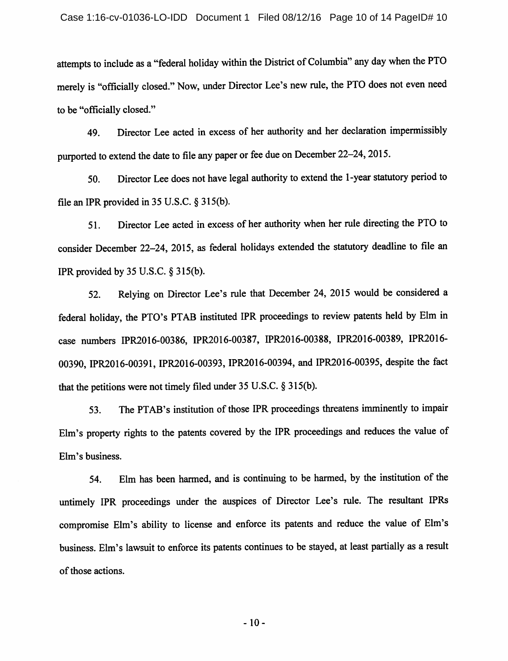attempts to include as a "federal holiday within the District of Columbia" any day when the PTO merely is "officially closed." Now, under Director Lee's new rule, the PTO does not even need to be "officially closed."

49. Director Lee acted in excess of her authority and her declaration impermissibly purported to extend the date to file any paper or fee due on December 22-24, 2015.

50. Director Leedoes not have legal authority to extend the 1-year statutory period to file an IPR provided in  $35$  U.S.C.  $\S 315(b)$ .

51. Director Lee acted in excess of her authority when her rule directing the PTO to consider December 22-24, 2015, as federal holidays extended the statutory deadline to file an IPR provided by 35 U.S.C. § 315(b).

52. Relying on Director Lee's rule that December 24, 2015 would be considered a federal holiday, the PTO's PTAB instituted IPR proceedings to review patents held by Elm in case numbers IPR2016-00386, IPR2016-00387, IPR2016-00388, IPR2016-00389, IPR2016- 00390, IPR2016-00391, IPR2016-00393, IPR2016-00394, and IPR2016-00395, despite the fact that the petitions were not timely filed under 35 U.S.C.  $\S$  315(b).

53. The PTAB's institution of those IPR proceedings threatens imminently to impair Ehn's property rights to the patents covered by the IPR proceedings and reduces the value of Elm's business.

54. Elm has been harmed, and is continuing to be harmed, by the institution of the untimely IPR proceedings under the auspices of Director Lee's rule. The resultant IPRs compromise Elm's ability to license and enforce its patents and reduce the value of Elm's business. Elm's lawsuit to enforce its patents continues to be stayed, at least partially as a result of those actions.

-10-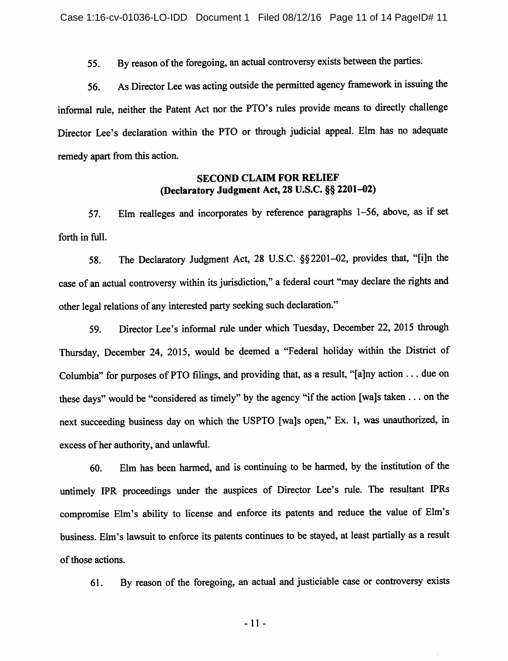55. By reason of the foregoing, an actual controversy exists between the parties.

56. As Director Lee was acting outside the permitted agency framework inissuing the informal rule, neither the Patent Act nor the PTO's rules provide means to directly challenge Director Lee's declaration within the PTO or through judicial appeal. Elm has no adequate remedy apart from this action.

## SECOND CLAIM FOR RELIEF (Declaratory Judgment Act, 28 U.S.C. §§ 2201-02)

57. Elm realleges and incorporates by reference paragraphs 1-56, above, as if set forth in full.

58. The Declaratory Judgment Act, 28 U.S.C. §§2201-02, provides that, "[i]n the case of an actual controversy within its jurisdiction," a federal court "may declare the rights and other legal relations of any interested party seeking such declaration."

59. Director Lee's informal rule under which Tuesday, December 22, 2015 through Thursday, December 24, 2015, would be deemed a "Federal holiday within the District of Columbia" for purposes of PTO filings, and providing that, as a resuh, "[a]ny action ... due on these days" would be "considered as timely" by the agency "if the action [wa]s taken  $\dots$  on the next succeeding business day on which the USPTO [wa]s open," Ex. 1, was unauthorized, in excess of her authority, and unlawful.

60. Elm has been harmed, and is continuing to be harmed, by the institution of the untimely IPR proceedings under the auspices of Director Lee's rule. The resultant IPRs compromise Ehn's ability to license and enforce its patents and reduce the value of Elm's business. Elm's lawsuit to enforce its patents continues to be stayed, at least partially as a result of those actions.

61. By reason of the foregoing, an actual and justiciable case or controversy exists

-11-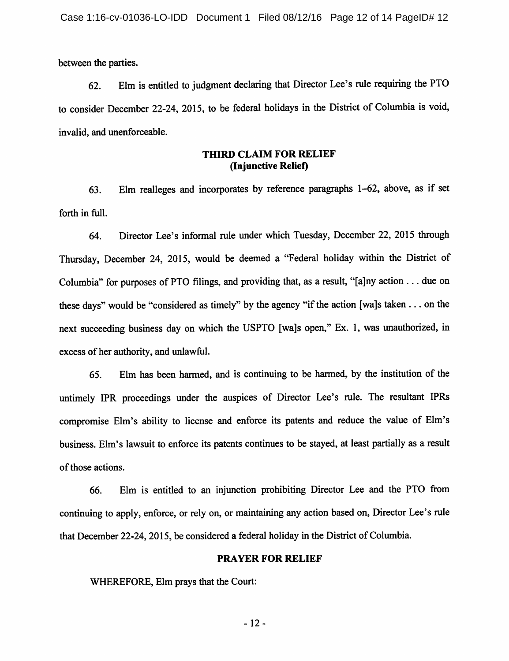between the parties.

62. Elm is entitled to judgment declaring that Director Lee's rule requiring the PTO to consider December 22-24, 2015, to be federal holidays in the District of Columbia is void, invalid, and unenforceable.

## THIRD CLAIM FOR RELIEF (Injunctive Relief)

63. Elm realleges and incorporates by reference paragraphs 1-62, above, as if set forth in full.

64. Director Lee's informal rule under which Tuesday, December 22, 2015 through Thursday, December 24, 2015, would be deemed a "Federal holiday within the District of Columbia" for purposes of PTO filings, and providing that, as a result, "[a]ny action ... due on these days" would be "considered as timely" by the agency "if the action [wa]s taken  $\dots$  on the next succeeding business day on which the USPTO [wa]s open," Ex. 1, was unauthorized, in excess of her authority, and unlawful.

65. Elm has been harmed, and is continuing to be harmed, by the institution of the untimely IPR proceedings under the auspices of Director Lee's rule. The resultant IPRs compromise Elm's ability to license and enforce its patents and reduce the value of Elm's business. Elm's lawsuit to enforce its patents continues to be stayed, at least partially as a result of those actions.

66. Elm is entitled to an injunction prohibiting Director Lee and the PTO from continuing to apply, enforce, or rely on, or maintaining any action based on. Director Lee's rule that December 22-24, 2015, be considered a federal holiday in the District of Columbia.

#### PRAYER FOR RELIEF

WHEREFORE, Elm prays that the Court:

-12-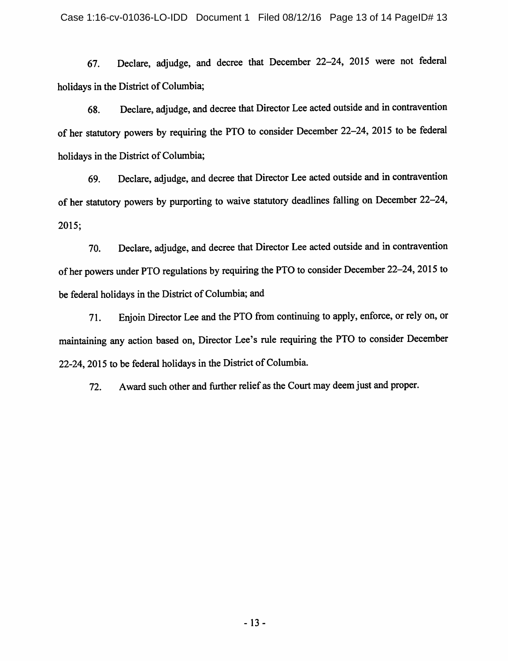67. Declare, adjudge, and decree that December 22-24, 2015 were not federal holidays in the District of Columbia;

68. Declare, adjudge, and decree that Director Lee acted outside and incontravention of her statutory powers by requiring the PTO to consider December 22-24, 2015 to be federal holidays in the District of Columbia;

69. Declare, adjudge, and decree that Director Lee acted outside and in contravention of her statutory powers by purporting to waive statutory deadlines falling on December 22-24, 2015;

70. Declare, adjudge, and decree that Director Lee acted outside and in contravention ofher powers under PTO regulations by requiring the PTO to consider December 22—24, 2015 to be federal holidays in the District of Columbia; and

71. Enjoin Director Lee and the PTO from continuing to apply, enforce, orrely on, or maintaining any action based on, Director Lee's rule requiring the PTO to consider December 22-24, 2015 to be federal holidays in the District of Columbia.

72. Award such other and further relief as the Court may deem just and proper.